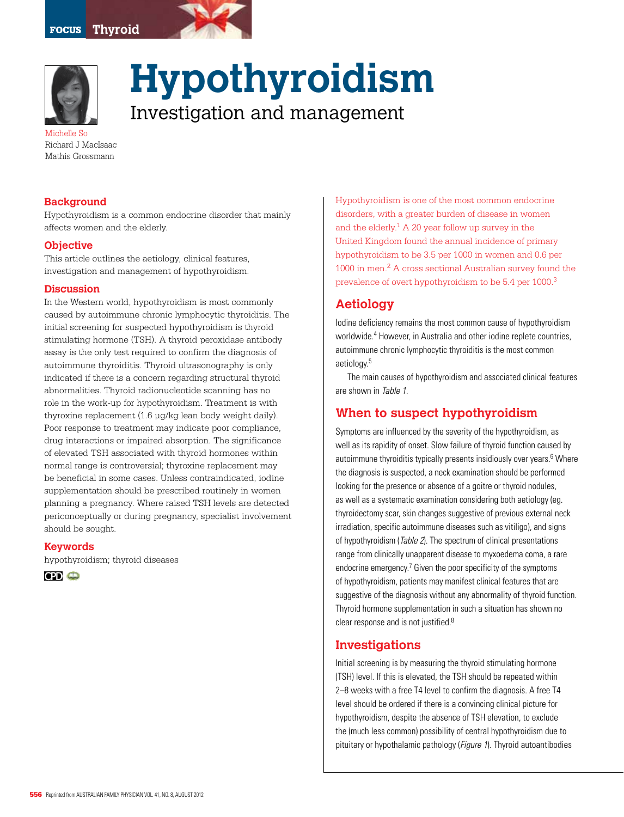



**Hypothyroidism**  Investigation and management

Michelle So Richard J MacIsaac Mathis Grossmann

#### **Background**

Hypothyroidism is a common endocrine disorder that mainly affects women and the elderly.

#### **Objective**

This article outlines the aetiology, clinical features, investigation and management of hypothyroidism.

#### **Discussion**

In the Western world, hypothyroidism is most commonly caused by autoimmune chronic lymphocytic thyroiditis. The initial screening for suspected hypothyroidism is thyroid stimulating hormone (TSH). A thyroid peroxidase antibody assay is the only test required to confirm the diagnosis of autoimmune thyroiditis. Thyroid ultrasonography is only indicated if there is a concern regarding structural thyroid abnormalities. Thyroid radionucleotide scanning has no role in the work-up for hypothyroidism. Treatment is with thyroxine replacement (1.6 µg/kg lean body weight daily). Poor response to treatment may indicate poor compliance, drug interactions or impaired absorption. The significance of elevated TSH associated with thyroid hormones within normal range is controversial; thyroxine replacement may be beneficial in some cases. Unless contraindicated, iodine supplementation should be prescribed routinely in women planning a pregnancy. Where raised TSH levels are detected periconceptually or during pregnancy, specialist involvement should be sought.

#### **Keywords**

hypothyroidism; thyroid diseases



Hypothyroidism is one of the most common endocrine disorders, with a greater burden of disease in women and the elderly. $1$  A 20 year follow up survey in the United Kingdom found the annual incidence of primary hypothyroidism to be 3.5 per 1000 in women and 0.6 per 1000 in men.2 A cross sectional Australian survey found the prevalence of overt hypothyroidism to be 5.4 per 1000.3

# **Aetiology**

Iodine deficiency remains the most common cause of hypothyroidism worldwide.4 However, in Australia and other iodine replete countries, autoimmune chronic lymphocytic thyroiditis is the most common aetiology.5

The main causes of hypothyroidism and associated clinical features are shown in Table 1.

## **When to suspect hypothyroidism**

Symptoms are influenced by the severity of the hypothyroidism, as well as its rapidity of onset. Slow failure of thyroid function caused by autoimmune thyroiditis typically presents insidiously over years.<sup>6</sup> Where the diagnosis is suspected, a neck examination should be performed looking for the presence or absence of a goitre or thyroid nodules, as well as a systematic examination considering both aetiology (eg. thyroidectomy scar, skin changes suggestive of previous external neck irradiation, specific autoimmune diseases such as vitiligo), and signs of hypothyroidism (Table 2). The spectrum of clinical presentations range from clinically unapparent disease to myxoedema coma, a rare endocrine emergency.<sup>7</sup> Given the poor specificity of the symptoms of hypothyroidism, patients may manifest clinical features that are suggestive of the diagnosis without any abnormality of thyroid function. Thyroid hormone supplementation in such a situation has shown no clear response and is not justified.<sup>8</sup>

## **Investigations**

Initial screening is by measuring the thyroid stimulating hormone (TSH) level. If this is elevated, the TSH should be repeated within 2–8 weeks with a free T4 level to confirm the diagnosis. A free T4 level should be ordered if there is a convincing clinical picture for hypothyroidism, despite the absence of TSH elevation, to exclude the (much less common) possibility of central hypothyroidism due to pituitary or hypothalamic pathology (Figure 1). Thyroid autoantibodies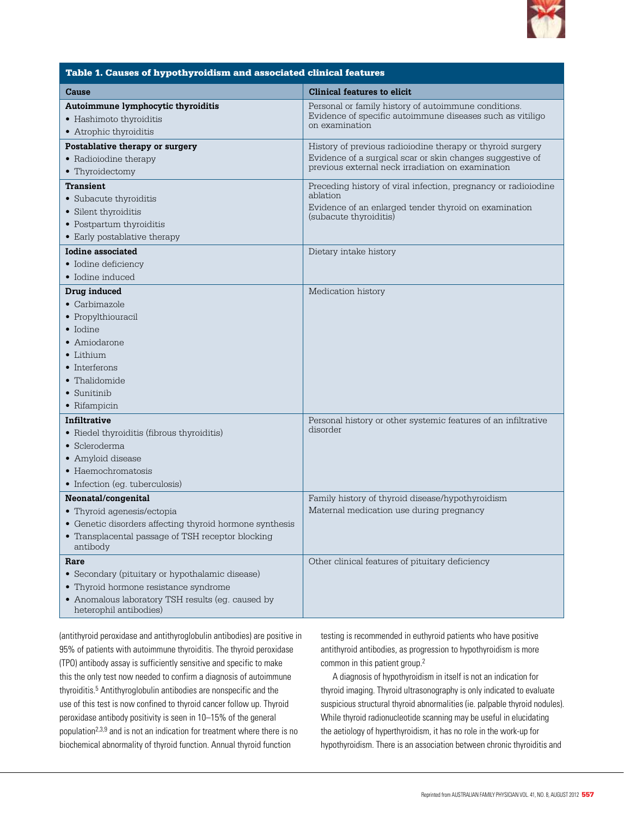

| Table 1. Causes of hypothyroidism and associated clinical features                                                                                                              |                                                                                                                                                                              |  |  |  |
|---------------------------------------------------------------------------------------------------------------------------------------------------------------------------------|------------------------------------------------------------------------------------------------------------------------------------------------------------------------------|--|--|--|
| Cause                                                                                                                                                                           | Clinical features to elicit                                                                                                                                                  |  |  |  |
| Autoimmune lymphocytic thyroiditis<br>• Hashimoto thyroiditis<br>• Atrophic thyroiditis                                                                                         | Personal or family history of autoimmune conditions.<br>Evidence of specific autoimmune diseases such as vitiligo<br>on examination                                          |  |  |  |
| Postablative therapy or surgery<br>• Radioiodine therapy<br>• Thyroidectomy                                                                                                     | History of previous radioiodine therapy or thyroid surgery<br>Evidence of a surgical scar or skin changes suggestive of<br>previous external neck irradiation on examination |  |  |  |
| <b>Transient</b><br>• Subacute thyroiditis<br>• Silent thyroiditis<br>• Postpartum thyroiditis<br>• Early postablative therapy                                                  | Preceding history of viral infection, pregnancy or radioiodine<br>ablation<br>Evidence of an enlarged tender thyroid on examination<br>(subacute thyroiditis)                |  |  |  |
| Iodine associated<br>• Iodine deficiency<br>• Iodine induced                                                                                                                    | Dietary intake history                                                                                                                                                       |  |  |  |
| Drug induced<br>$\bullet$ Carbimazole<br>• Propylthiouracil<br>• Iodine<br>• Amiodarone<br>$\bullet$ Lithium<br>• Interferons<br>• Thalidomide<br>• Sunitinib<br>• Rifampicin   | Medication history                                                                                                                                                           |  |  |  |
| Infiltrative<br>• Riedel thyroiditis (fibrous thyroiditis)<br>· Scleroderma<br>• Amyloid disease<br>• Haemochromatosis<br>• Infection (eg. tuberculosis)                        | Personal history or other systemic features of an infiltrative<br>disorder                                                                                                   |  |  |  |
| Neonatal/congenital<br>• Thyroid agenesis/ectopia<br>• Genetic disorders affecting thyroid hormone synthesis<br>Transplacental passage of TSH receptor blocking<br>antibody     | Family history of thyroid disease/hypothyroidism<br>Maternal medication use during pregnancy                                                                                 |  |  |  |
| Rare<br>• Secondary (pituitary or hypothalamic disease)<br>• Thyroid hormone resistance syndrome<br>• Anomalous laboratory TSH results (eg. caused by<br>heterophil antibodies) | Other clinical features of pituitary deficiency                                                                                                                              |  |  |  |

(antithyroid peroxidase and antithyroglobulin antibodies) are positive in 95% of patients with autoimmune thyroiditis. The thyroid peroxidase (TPO) antibody assay is sufficiently sensitive and specific to make this the only test now needed to confirm a diagnosis of autoimmune thyroiditis.<sup>5</sup> Antithyroglobulin antibodies are nonspecific and the use of this test is now confined to thyroid cancer follow up. Thyroid peroxidase antibody positivity is seen in 10–15% of the general population2,3,9 and is not an indication for treatment where there is no biochemical abnormality of thyroid function. Annual thyroid function

testing is recommended in euthyroid patients who have positive antithyroid antibodies, as progression to hypothyroidism is more common in this patient group.2

A diagnosis of hypothyroidism in itself is not an indication for thyroid imaging. Thyroid ultrasonography is only indicated to evaluate suspicious structural thyroid abnormalities (ie. palpable thyroid nodules). While thyroid radionucleotide scanning may be useful in elucidating the aetiology of hyperthyroidism, it has no role in the work-up for hypothyroidism. There is an association between chronic thyroiditis and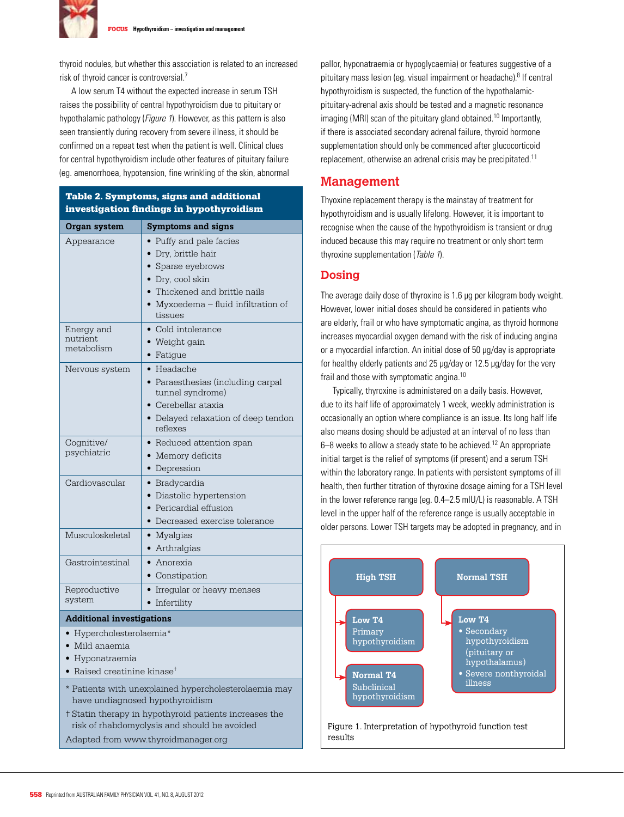

thyroid nodules, but whether this association is related to an increased risk of thyroid cancer is controversial.7

A low serum T4 without the expected increase in serum TSH raises the possibility of central hypothyroidism due to pituitary or hypothalamic pathology (*Figure 1*). However, as this pattern is also seen transiently during recovery from severe illness, it should be confirmed on a repeat test when the patient is well. Clinical clues for central hypothyroidism include other features of pituitary failure (eg. amenorrhoea, hypotension, fine wrinkling of the skin, abnormal

### Table 2. Symptoms, signs and additional investigation findings in hypothyroidism

| Organ system                                                                             | <b>Symptoms and signs</b>                             |  |  |
|------------------------------------------------------------------------------------------|-------------------------------------------------------|--|--|
| Appearance                                                                               | • Puffy and pale facies<br>• Dry, brittle hair        |  |  |
|                                                                                          | Sparse eyebrows<br>· Dry, cool skin                   |  |  |
|                                                                                          | • Thickened and brittle nails                         |  |  |
|                                                                                          | • Myxoedema - fluid infiltration of<br>tissues        |  |  |
| Energy and                                                                               | • Cold intolerance                                    |  |  |
| nutrient<br>metabolism                                                                   | • Weight gain                                         |  |  |
|                                                                                          | • Fatigue                                             |  |  |
| Nervous system                                                                           | $\bullet$ Headache                                    |  |  |
|                                                                                          | · Paraesthesias (including carpal<br>tunnel syndrome) |  |  |
|                                                                                          | • Cerebellar ataxia                                   |  |  |
|                                                                                          | • Delayed relaxation of deep tendon<br>reflexes       |  |  |
| Cognitive/                                                                               | • Reduced attention span                              |  |  |
| psychiatric                                                                              | • Memory deficits                                     |  |  |
|                                                                                          | • Depression                                          |  |  |
| Cardiovascular                                                                           | • Bradycardia                                         |  |  |
|                                                                                          | • Diastolic hypertension                              |  |  |
|                                                                                          | • Pericardial effusion                                |  |  |
|                                                                                          | • Decreased exercise tolerance                        |  |  |
| Musculoskeletal                                                                          | • Myalgias                                            |  |  |
|                                                                                          | • Arthralgias                                         |  |  |
| Gastrointestinal                                                                         | • Anorexia                                            |  |  |
|                                                                                          | • Constipation                                        |  |  |
| Reproductive                                                                             | • Irregular or heavy menses                           |  |  |
| system                                                                                   | • Infertility                                         |  |  |
| <b>Additional investigations</b>                                                         |                                                       |  |  |
| • Hypercholesterolaemia*                                                                 |                                                       |  |  |
| • Mild anaemia                                                                           |                                                       |  |  |
| • Hyponatraemia                                                                          |                                                       |  |  |
| • Raised creatinine kinase <sup>+</sup>                                                  |                                                       |  |  |
| * Patients with unexplained hypercholesterolaemia may<br>have undiagnosed hypothyroidism |                                                       |  |  |
| t Statin therapy in hypothyroid patients increases the                                   |                                                       |  |  |
| risk of rhabdomyolysis and should be avoided                                             |                                                       |  |  |
| Adapted from www.thyroidmanager.org                                                      |                                                       |  |  |

pallor, hyponatraemia or hypoglycaemia) or features suggestive of a pituitary mass lesion (eg. visual impairment or headache).8 If central hypothyroidism is suspected, the function of the hypothalamicpituitary-adrenal axis should be tested and a magnetic resonance imaging (MRI) scan of the pituitary gland obtained.<sup>10</sup> Importantly, if there is associated secondary adrenal failure, thyroid hormone supplementation should only be commenced after glucocorticoid replacement, otherwise an adrenal crisis may be precipitated.11

### **Management**

Thyoxine replacement therapy is the mainstay of treatment for hypothyroidism and is usually lifelong. However, it is important to recognise when the cause of the hypothyroidism is transient or drug induced because this may require no treatment or only short term thyroxine supplementation (Table 1).

#### **Dosing**

The average daily dose of thyroxine is 1.6 µg per kilogram body weight. However, lower initial doses should be considered in patients who are elderly, frail or who have symptomatic angina, as thyroid hormone increases myocardial oxygen demand with the risk of inducing angina or a myocardial infarction. An initial dose of 50 µg/day is appropriate for healthy elderly patients and 25 µg/day or 12.5 µg/day for the very frail and those with symptomatic angina.10

Typically, thyroxine is administered on a daily basis. However, due to its half life of approximately 1 week, weekly administration is occasionally an option where compliance is an issue. Its long half life also means dosing should be adjusted at an interval of no less than 6–8 weeks to allow a steady state to be achieved.12 An appropriate initial target is the relief of symptoms (if present) and a serum TSH within the laboratory range. In patients with persistent symptoms of ill health, then further titration of thyroxine dosage aiming for a TSH level in the lower reference range (eg. 0.4–2.5 mIU/L) is reasonable. A TSH level in the upper half of the reference range is usually acceptable in older persons. Lower TSH targets may be adopted in pregnancy, and in

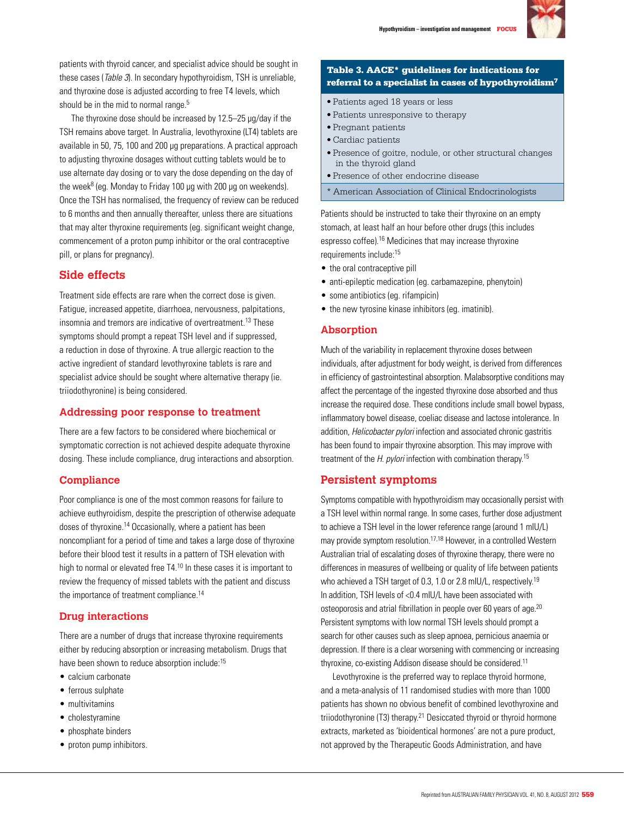

patients with thyroid cancer, and specialist advice should be sought in these cases (Table 3). In secondary hypothyroidism, TSH is unreliable, and thyroxine dose is adjusted according to free T4 levels, which should be in the mid to normal range.<sup>5</sup>

The thyroxine dose should be increased by 12.5–25 µg/day if the TSH remains above target. In Australia, levothyroxine (LT4) tablets are available in 50, 75, 100 and 200 µg preparations. A practical approach to adjusting thyroxine dosages without cutting tablets would be to use alternate day dosing or to vary the dose depending on the day of the week<sup>8</sup> (eg. Monday to Friday 100 µg with 200 µg on weekends). Once the TSH has normalised, the frequency of review can be reduced to 6 months and then annually thereafter, unless there are situations that may alter thyroxine requirements (eg. significant weight change, commencement of a proton pump inhibitor or the oral contraceptive pill, or plans for pregnancy).

## **Side effects**

Treatment side effects are rare when the correct dose is given. Fatigue, increased appetite, diarrhoea, nervousness, palpitations, insomnia and tremors are indicative of overtreatment.13 These symptoms should prompt a repeat TSH level and if suppressed, a reduction in dose of thyroxine. A true allergic reaction to the active ingredient of standard levothyroxine tablets is rare and specialist advice should be sought where alternative therapy (ie. triiodothyronine) is being considered.

### **Addressing poor response to treatment**

There are a few factors to be considered where biochemical or symptomatic correction is not achieved despite adequate thyroxine dosing. These include compliance, drug interactions and absorption.

### **Compliance**

Poor compliance is one of the most common reasons for failure to achieve euthyroidism, despite the prescription of otherwise adequate doses of thyroxine.14 Occasionally, where a patient has been noncompliant for a period of time and takes a large dose of thyroxine before their blood test it results in a pattern of TSH elevation with high to normal or elevated free T4.<sup>10</sup> In these cases it is important to review the frequency of missed tablets with the patient and discuss the importance of treatment compliance.<sup>14</sup>

### **Drug interactions**

There are a number of drugs that increase thyroxine requirements either by reducing absorption or increasing metabolism. Drugs that have been shown to reduce absorption include:<sup>15</sup>

- calcium carbonate
- ferrous sulphate
- multivitamins
- cholestyramine
- phosphate binders
- proton pump inhibitors.

#### Table 3. AACE\* guidelines for indications for referral to a specialist in cases of hypothyroidism7

- • Patients aged 18 years or less
- • Patients unresponsive to therapy
- • Pregnant patients
- • Cardiac patients
- • Presence of goitre, nodule, or other structural changes in the thyroid gland
- • Presence of other endocrine disease
- \* American Association of Clinical Endocrinologists

Patients should be instructed to take their thyroxine on an empty stomach, at least half an hour before other drugs (this includes espresso coffee).16 Medicines that may increase thyroxine requirements include:15

- the oral contraceptive pill
- anti-epileptic medication (eg. carbamazepine, phenytoin)
- some antibiotics (eg. rifampicin)
- the new tyrosine kinase inhibitors (eg. imatinib).

#### **Absorption**

Much of the variability in replacement thyroxine doses between individuals, after adjustment for body weight, is derived from differences in efficiency of gastrointestinal absorption. Malabsorptive conditions may affect the percentage of the ingested thyroxine dose absorbed and thus increase the required dose. These conditions include small bowel bypass, inflammatory bowel disease, coeliac disease and lactose intolerance. In addition, Helicobacter pylori infection and associated chronic gastritis has been found to impair thyroxine absorption. This may improve with treatment of the  $H.$  pylori infection with combination therapy.<sup>15</sup>

### **Persistent symptoms**

Symptoms compatible with hypothyroidism may occasionally persist with a TSH level within normal range. In some cases, further dose adjustment to achieve a TSH level in the lower reference range (around 1 mIU/L) may provide symptom resolution.17,18 However, in a controlled Western Australian trial of escalating doses of thyroxine therapy, there were no differences in measures of wellbeing or quality of life between patients who achieved a TSH target of 0.3, 1.0 or 2.8 mIU/L, respectively.<sup>19</sup> In addition, TSH levels of <0.4 mIU/L have been associated with osteoporosis and atrial fibrillation in people over 60 years of age.20 Persistent symptoms with low normal TSH levels should prompt a search for other causes such as sleep apnoea, pernicious anaemia or depression. If there is a clear worsening with commencing or increasing thyroxine, co-existing Addison disease should be considered.<sup>11</sup>

Levothyroxine is the preferred way to replace thyroid hormone, and a meta-analysis of 11 randomised studies with more than 1000 patients has shown no obvious benefit of combined levothyroxine and triiodothyronine (T3) therapy.<sup>21</sup> Desiccated thyroid or thyroid hormone extracts, marketed as 'bioidentical hormones' are not a pure product, not approved by the Therapeutic Goods Administration, and have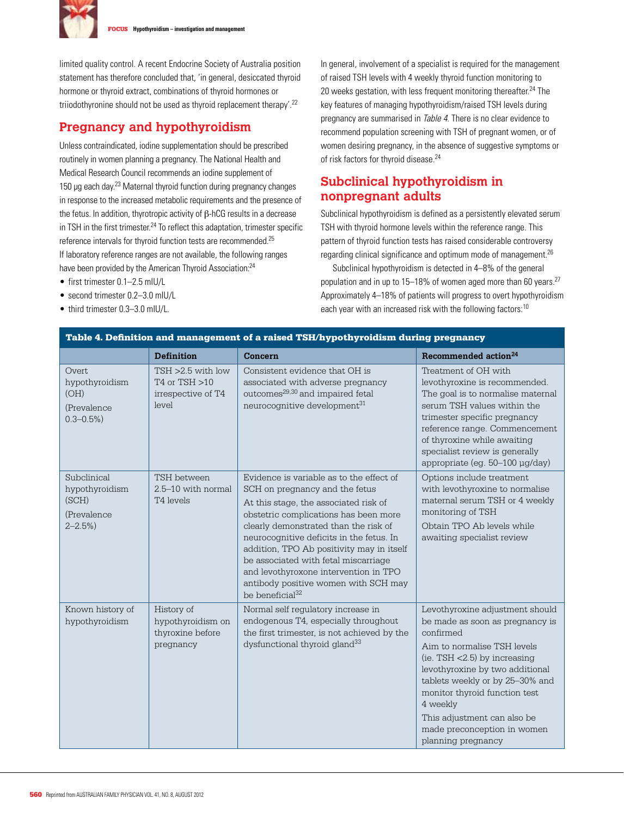

FOCUS **Hypothyroidism – investigation and management**

limited quality control. A recent Endocrine Society of Australia position statement has therefore concluded that, 'in general, desiccated thyroid hormone or thyroid extract, combinations of thyroid hormones or triiodothyronine should not be used as thyroid replacement therapy'.22

# **Pregnancy and hypothyroidism**

Unless contraindicated, iodine supplementation should be prescribed routinely in women planning a pregnancy. The National Health and Medical Research Council recommends an iodine supplement of 150  $\mu$ g each day.<sup>23</sup> Maternal thyroid function during pregnancy changes in response to the increased metabolic requirements and the presence of the fetus. In addition, thyrotropic activity of β-hCG results in a decrease in TSH in the first trimester. $^{24}$  To reflect this adaptation, trimester specific reference intervals for thyroid function tests are recommended.25 If laboratory reference ranges are not available, the following ranges have been provided by the American Thyroid Association:<sup>24</sup>

- first trimester 0.1-2.5 mIU/L
- second trimester 0.2-3.0 mIU/L
- third trimester 0.3-3.0 mIU/L.

In general, involvement of a specialist is required for the management of raised TSH levels with 4 weekly thyroid function monitoring to 20 weeks gestation, with less frequent monitoring thereafter.<sup>24</sup> The key features of managing hypothyroidism/raised TSH levels during pregnancy are summarised in Table 4. There is no clear evidence to recommend population screening with TSH of pregnant women, or of women desiring pregnancy, in the absence of suggestive symptoms or of risk factors for thyroid disease.24

# **Subclinical hypothyroidism in nonpregnant adults**

Subclinical hypothyroidism is defined as a persistently elevated serum TSH with thyroid hormone levels within the reference range. This pattern of thyroid function tests has raised considerable controversy regarding clinical significance and optimum mode of management.<sup>26</sup>

 Subclinical hypothyroidism is detected in 4–8% of the general population and in up to 15–18% of women aged more than 60 years.<sup>27</sup> Approximately 4–18% of patients will progress to overt hypothyroidism each year with an increased risk with the following factors:<sup>10</sup>

| Table 4. Definition and management of a raised TSH/hypothyroidism during pregnancy |                                                                      |                                                                                                                                                                                                                                                                                                                                                                                                                                                        |                                                                                                                                                                                                                                                                                                                                                          |  |
|------------------------------------------------------------------------------------|----------------------------------------------------------------------|--------------------------------------------------------------------------------------------------------------------------------------------------------------------------------------------------------------------------------------------------------------------------------------------------------------------------------------------------------------------------------------------------------------------------------------------------------|----------------------------------------------------------------------------------------------------------------------------------------------------------------------------------------------------------------------------------------------------------------------------------------------------------------------------------------------------------|--|
|                                                                                    | <b>Definition</b>                                                    | Concern                                                                                                                                                                                                                                                                                                                                                                                                                                                | Recommended action <sup>24</sup>                                                                                                                                                                                                                                                                                                                         |  |
| Overt.<br>hypothyroidism<br>(OH)<br>(Prevalence<br>$0.3 - 0.5\%)$                  | $TSH > 2.5$ with low<br>T4 or TSH >10<br>irrespective of T4<br>level | Consistent evidence that OH is<br>associated with adverse pregnancy<br>outcomes <sup>29,30</sup> and impaired fetal<br>neurocognitive development <sup>31</sup>                                                                                                                                                                                                                                                                                        | Treatment of OH with<br>levothyroxine is recommended.<br>The goal is to normalise maternal<br>serum TSH values within the<br>trimester specific pregnancy<br>reference range. Commencement<br>of thyroxine while awaiting<br>specialist review is generally<br>appropriate (eg. 50-100 µg/day)                                                           |  |
| Subclinical<br>hypothyroidism<br>(SCH)<br>(Prevalence<br>$2 - 2.5\%)$              | TSH between<br>2.5-10 with normal<br>T4 levels                       | Evidence is variable as to the effect of<br>SCH on pregnancy and the fetus<br>At this stage, the associated risk of<br>obstetric complications has been more<br>clearly demonstrated than the risk of<br>neurocognitive deficits in the fetus. In<br>addition, TPO Ab positivity may in itself<br>be associated with fetal miscarriage<br>and levothyroxone intervention in TPO<br>antibody positive women with SCH may<br>be beneficial <sup>32</sup> | Options include treatment<br>with levothyroxine to normalise<br>maternal serum TSH or 4 weekly<br>monitoring of TSH<br>Obtain TPO Ab levels while<br>awaiting specialist review                                                                                                                                                                          |  |
| Known history of<br>hypothyroidism                                                 | History of<br>hypothyroidism on<br>thyroxine before<br>pregnancy     | Normal self regulatory increase in<br>endogenous T4, especially throughout<br>the first trimester, is not achieved by the<br>dysfunctional thyroid gland <sup>33</sup>                                                                                                                                                                                                                                                                                 | Levothyroxine adjustment should<br>be made as soon as pregnancy is<br>confirmed<br>Aim to normalise TSH levels<br>(ie. TSH $<$ 2.5) by increasing<br>levothyroxine by two additional<br>tablets weekly or by 25-30% and<br>monitor thyroid function test<br>4 weekly<br>This adjustment can also be<br>made preconception in women<br>planning pregnancy |  |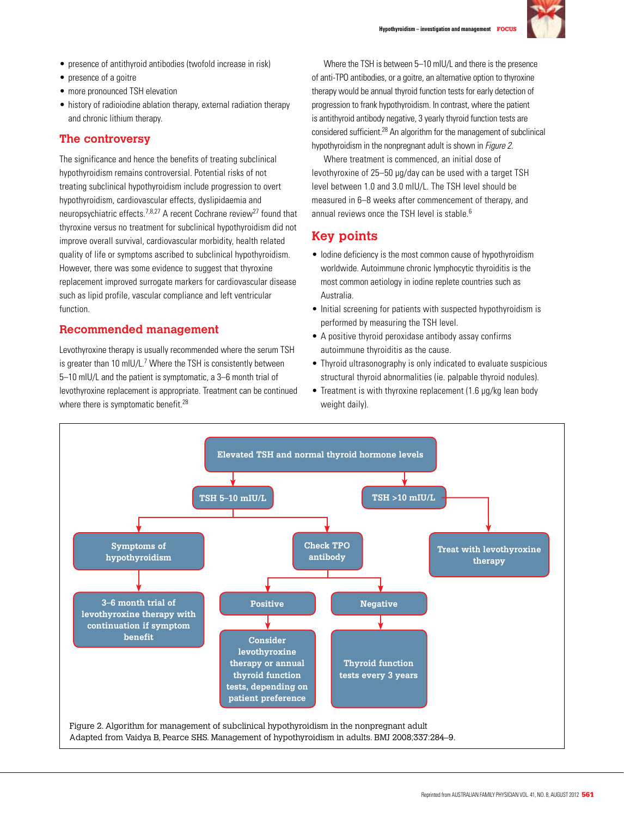

- presence of antithyroid antibodies (twofold increase in risk)
- presence of a goitre
- more pronounced TSH elevation
- history of radioiodine ablation therapy, external radiation therapy and chronic lithium therapy.

## **The controversy**

The significance and hence the benefits of treating subclinical hypothyroidism remains controversial. Potential risks of not treating subclinical hypothyroidism include progression to overt hypothyroidism, cardiovascular effects, dyslipidaemia and neuropsychiatric effects.<sup>7,8,27</sup> A recent Cochrane review<sup>27</sup> found that thyroxine versus no treatment for subclinical hypothyroidism did not improve overall survival, cardiovascular morbidity, health related quality of life or symptoms ascribed to subclinical hypothyroidism. However, there was some evidence to suggest that thyroxine replacement improved surrogate markers for cardiovascular disease such as lipid profile, vascular compliance and left ventricular function.

## **Recommended management**

Levothyroxine therapy is usually recommended where the serum TSH is greater than 10 mIU/L.<sup>7</sup> Where the TSH is consistently between 5–10 mIU/L and the patient is symptomatic, a 3–6 month trial of levothyroxine replacement is appropriate. Treatment can be continued where there is symptomatic benefit.<sup>28</sup>

Where the TSH is between 5–10 mIU/L and there is the presence of anti-TPO antibodies, or a goitre, an alternative option to thyroxine therapy would be annual thyroid function tests for early detection of progression to frank hypothyroidism. In contrast, where the patient is antithyroid antibody negative, 3 yearly thyroid function tests are considered sufficient.28 An algorithm for the management of subclinical hypothyroidism in the nonpregnant adult is shown in *Figure 2.* 

Where treatment is commenced, an initial dose of levothyroxine of 25–50 µg/day can be used with a target TSH level between 1.0 and 3.0 mIU/L. The TSH level should be measured in 6–8 weeks after commencement of therapy, and annual reviews once the TSH level is stable.<sup>6</sup>

# **Key points**

- Iodine deficiency is the most common cause of hypothyroidism worldwide. Autoimmune chronic lymphocytic thyroiditis is the most common aetiology in iodine replete countries such as Australia.
- Initial screening for patients with suspected hypothyroidism is performed by measuring the TSH level.
- • A positive thyroid peroxidase antibody assay confirms autoimmune thyroiditis as the cause.
- Thyroid ultrasonography is only indicated to evaluate suspicious structural thyroid abnormalities (ie. palpable thyroid nodules).
- Treatment is with thyroxine replacement (1.6 µg/kg lean body weight daily).